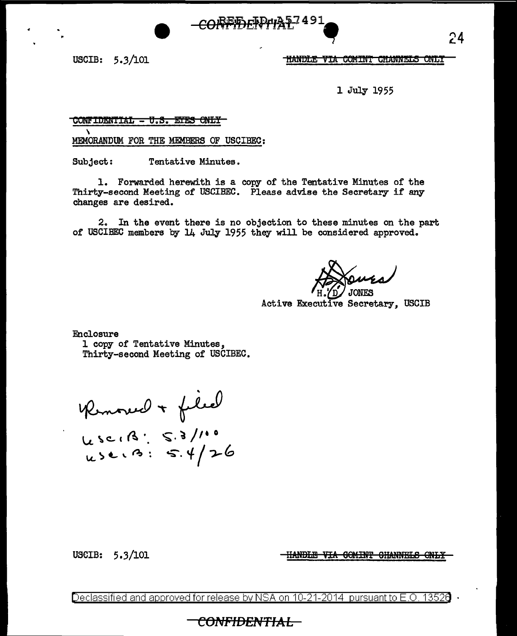USCIB: 5.3/101

<u>HANDLE VIA COMINT CHANNELS ONLY</u>

1 July 1955

#### CONFIDENTIAL - U.S. ETES ONLY

MEMORANDUM FOR THE MEMBERS OF USCIBEC:

Subject: Tentative Minutes.

1. Forwarded herewith is a copy of the Tentative Minutes of the Thirty-second Meeting of USCIBEC. Please advise the Secretary if any changes are desired.

<del>COREEDFFP4A57</del>491

In the event there is no objection to these minutes on the part 2. of USCIBEC members by 14 July 1955 they will be considered approved.

**JONES** 

Active Executive Secretary, USCIB

Enclosure

1 copy of Tentative Minutes, Thirty-second Meeting of USCIBEC.

Kenour + filed<br>450, B: 5.3/100<br>450, B: 5.4/26

USCIB: 5.3/101

**HANDLE VIA COMINT CHANNELS ONLY** 

Declassified and approved for release by NSA on 10-21-2014 pursuant to E.O. 13526

## <del>CONFIDENTIAL -</del>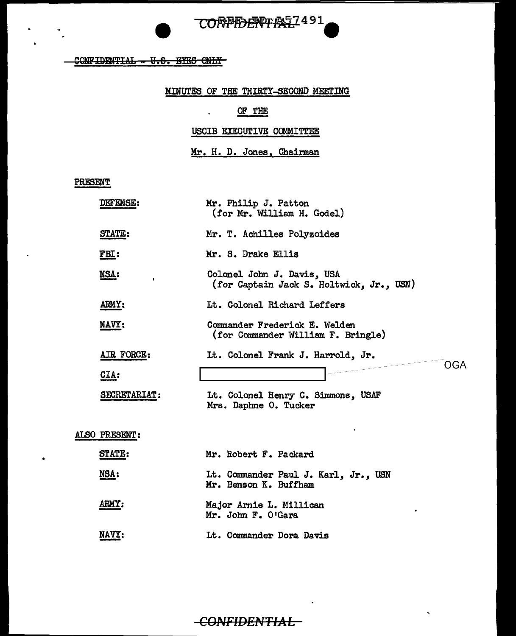CORPIDENTIAS 1491

 $COMFIDENTHAL - 0.8.$  BYES ONLY

### MINUTES OF THE THIRTY-SECOND MEETING

# OF THE

 $\mathbf{v} = \mathbf{v}$ 

USCIB EXECUTIVE COMMITTEE

Mr. H. D. Jones, Chairman

PRESENT

|               | <b>DEFENSE:</b>      | Mr. Philip J. Patton<br>(for Mr. William H. Godel)                     |
|---------------|----------------------|------------------------------------------------------------------------|
|               | <b>STATE:</b>        | Mr. T. Achilles Polyzoides                                             |
|               | FBL:                 | Mr. S. Drake Ellis                                                     |
|               | NSA:<br>$\mathbf{I}$ | Colonel John J. Davis, USA<br>(for Captain Jack S. Holtwick, Jr., USN) |
|               | ARMY:                | Lt. Colonel Richard Leffers                                            |
|               | <b>NAVY:</b>         | Commander Frederick E. Welden<br>(for Commander William F. Bringle)    |
|               | AIR FORCE:           | It. Colonel Frank J. Harrold, Jr.<br>OGA                               |
|               | CIA:                 |                                                                        |
|               | SECRETARIAT:         | Lt. Colonel Henry C. Simmons, USAF<br>Mrs. Daphne O. Tucker            |
| ALSO PRESENT: |                      |                                                                        |
|               | <b>STATE:</b>        | Mr. Robert F. Packard                                                  |
|               | NSA:                 | Lt. Commander Paul J. Karl, Jr., USN<br>Mr. Benson K. Buffham          |
|               | ARMY:                | Major Arnie L. Millican<br>Mr. John F. O'Gara                          |
|               | NAVY:                | Lt. Commander Dora Davis                                               |

# CONFIDENTIAL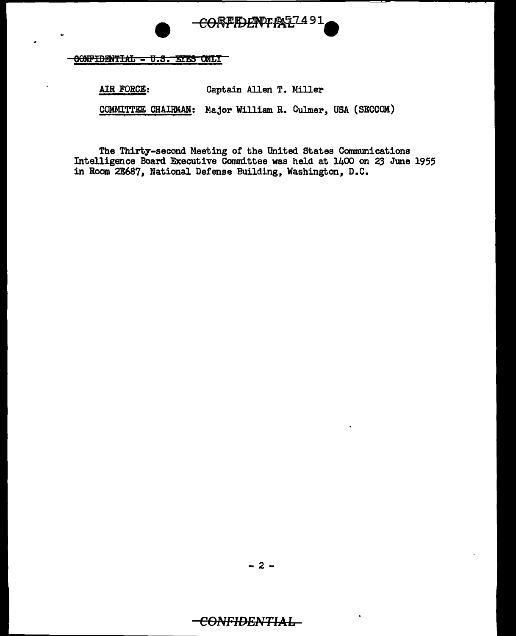

OONFIDENTIAL - U.S. EYES ONLY

AIR FORCE: Captain Allen T. Miller COMMITTEE CHAIRMAN: Major William R. Culmer, USA (SECCOM)

The Thirty-second Meeting of the United States Communications Intelligence Board Executive Committee was held at 1400 on 23 June 1955 in Room 2E687, National Defense Building, Washington, D.C.

# -<del>CONFIDENTIAL</del>